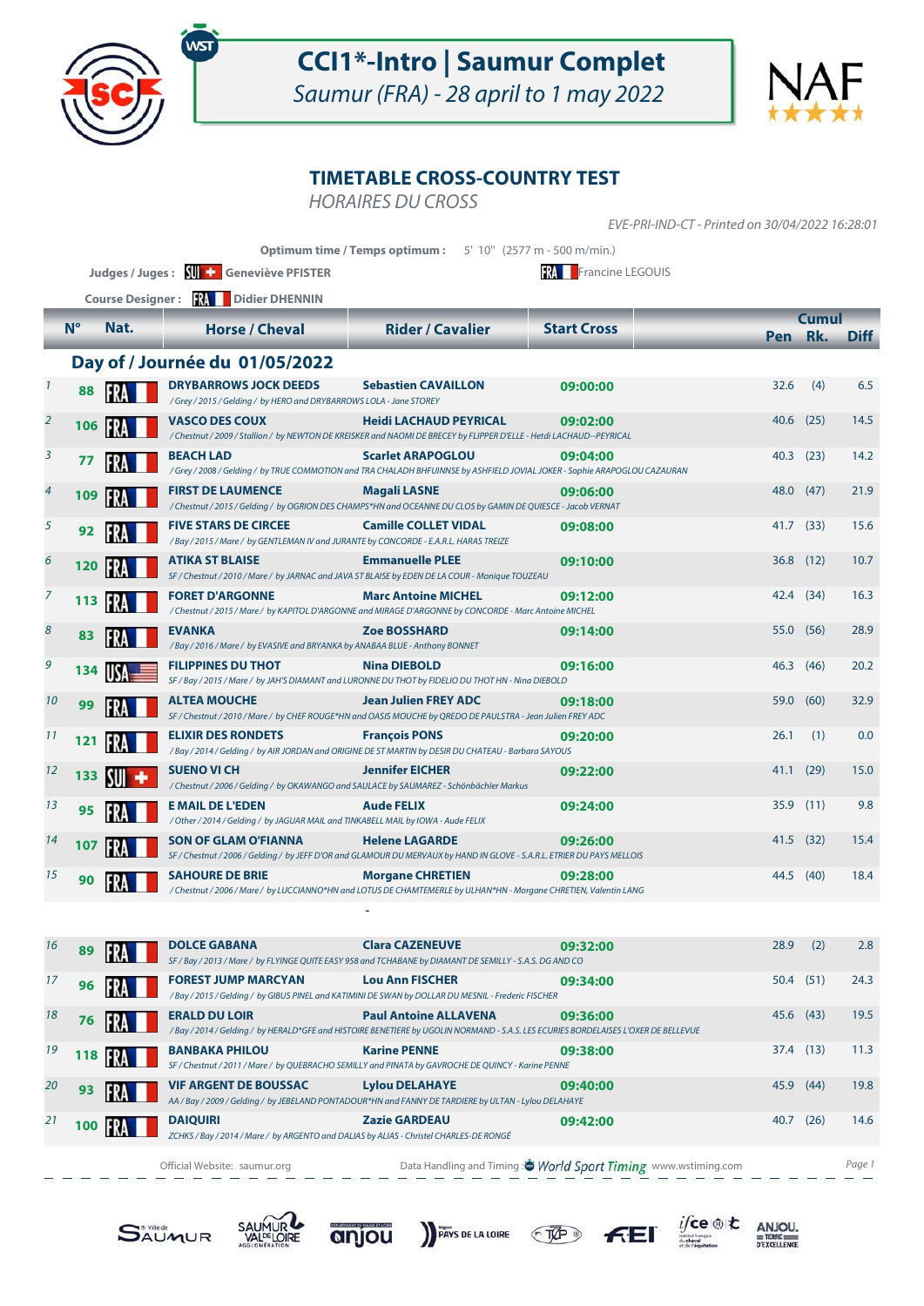

 $\overline{\mathbf{K}}$ 

### **CCI1\*-Intro | Saumur Complet**

Saumur (FRA) - 28 april to 1 may 2022



#### **TIMETABLE CROSS-COUNTRY TEST**

HORAIRES DU CROSS

EVE-PRI-IND-CT - Printed on 30/04/2022 16:28:01

**Optimum time / Temps optimum :** 5' 10'' (2577 m - 500 m/min.)

|                |             |      |                                                                                                                                                        |                               | <b>NAME Francine LEGOUIS</b> |         |              |             |
|----------------|-------------|------|--------------------------------------------------------------------------------------------------------------------------------------------------------|-------------------------------|------------------------------|---------|--------------|-------------|
|                |             |      | <b>Course Designer: WE Didier DHENNIN</b>                                                                                                              |                               |                              |         |              |             |
|                |             | Nat. |                                                                                                                                                        |                               | <b>Start Cross</b>           |         | <b>Cumul</b> |             |
|                | $N^{\circ}$ |      | <b>Horse / Cheval</b>                                                                                                                                  | <b>Rider / Cavalier</b>       |                              | Pen Rk. |              | <b>Diff</b> |
|                |             |      | Day of / Journée du 01/05/2022                                                                                                                         |                               |                              |         |              |             |
| $\mathbf{1}$   | 88          |      | <b>DRYBARROWS JOCK DEEDS</b><br>/Grey / 2015 / Gelding / by HERO and DRYBARROWS LOLA - Jane STOREY                                                     | <b>Sebastien CAVAILLON</b>    | 09:00:00                     | 32.6    | (4)          | 6.5         |
| $\overline{2}$ | 106         | IFRA | <b>VASCO DES COUX</b><br>/Chestnut/2009/Stallion/ by NEWTON DE KREISKER and NAOMI DE BRECEY by FLIPPER D'ELLE - Hetdi LACHAUD--PEYRICAL                | <b>Heidi LACHAUD PEYRICAL</b> | 09:02:00                     | 40.6    | (25)         | 14.5        |
| 3              | 77          |      | <b>BEACH LAD</b><br>/Grey/2008/Gelding/by TRUE COMMOTION and TRA CHALADH BHFUINNSE by ASHFIELD JOVIAL JOKER - Sophie ARAPOGLOU CAZAURAN                | <b>Scarlet ARAPOGLOU</b>      | 09:04:00                     | 40.3    | (23)         | 14.2        |
| $\overline{4}$ | 109         | IFRA | <b>FIRST DE LAUMENCE</b><br>/Chestnut / 2015 / Gelding / by OGRION DES CHAMPS*HN and OCEANNE DU CLOS by GAMIN DE QUIESCE - Jacob VERNAT                | <b>Magali LASNE</b>           | 09:06:00                     | 48.0    | (47)         | 21.9        |
| 5              | 92          |      | <b>FIVE STARS DE CIRCEE</b><br>/Bay / 2015 / Mare / by GENTLEMAN IV and JURANTE by CONCORDE - E.A.R.L. HARAS TREIZE                                    | <b>Camille COLLET VIDAL</b>   | 09:08:00                     | 41.7    | (33)         | 15.6        |
| 6              | 120         | IFRA | <b>ATIKA ST BLAISE</b><br>SF / Chestnut / 2010 / Mare / by JARNAC and JAVA ST BLAISE by EDEN DE LA COUR - Monique TOUZEAU                              | <b>Emmanuelle PLEE</b>        | 09:10:00                     | 36.8    | (12)         | 10.7        |
| 7              | 113         | FR   | <b>FORET D'ARGONNE</b><br>/Chestnut / 2015 / Mare / by KAPITOL D'ARGONNE and MIRAGE D'ARGONNE by CONCORDE - Marc Antoine MICHEL                        | <b>Marc Antoine MICHEL</b>    | 09:12:00                     | 42.4    | (34)         | 16.3        |
| 8              | 83          |      | EVANKA<br>/Bay / 2016 / Mare / by EVASIVE and BRYANKA by ANABAA BLUE - Anthony BONNET                                                                  | <b>Zoe BOSSHARD</b>           | 09:14:00                     | 55.0    | (56)         | 28.9        |
| 9              | 134         |      | <b>FILIPPINES DU THOT</b><br>SF / Bay / 2015 / Mare / by JAH'S DIAMANT and LURONNE DU THOT by FIDELIO DU THOT HN - Nina DIEBOLD                        | <b>Nina DIEBOLD</b>           | 09:16:00                     | 46.3    | (46)         | 20.2        |
| 10             | 99          |      | <b>ALTEA MOUCHE</b><br>SF / Chestnut / 2010 / Mare / by CHEF ROUGE*HN and OASIS MOUCHE by QREDO DE PAULSTRA - Jean Julien FREY ADC                     | <b>Jean Julien FREY ADC</b>   | 09:18:00                     | 59.0    | (60)         | 32.9        |
| 11             | 121         |      | <b>ELIXIR DES RONDETS</b><br>/Bay / 2014 / Gelding / by AIR JORDAN and ORIGINE DE ST MARTIN by DESIR DU CHATEAU - Barbara SAYOUS                       | <b>François PONS</b>          | 09:20:00                     | 26.1    | (1)          | 0.0         |
| 12             | 133         | ISUI | <b>SUENO VI CH</b><br>/ Chestnut / 2006 / Gelding / by OKAWANGO and SAULACE by SAUMAREZ - Schönbächler Markus                                          | <b>Jennifer EICHER</b>        | 09:22:00                     | 41.1    | (29)         | 15.0        |
| 13             | 95          |      | <b>E MAIL DE L'EDEN</b><br>/Other / 2014 / Gelding / by JAGUAR MAIL and TINKABELL MAIL by IOWA - Aude FELIX                                            | <b>Aude FELIX</b>             | 09:24:00                     | 35.9    | (11)         | 9.8         |
| 14             | 107         |      | <b>SON OF GLAM O'FIANNA</b><br>SF / Chestnut / 2006 / Gelding / by JEFF D'OR and GLAMOUR DU MERVAUX by HAND IN GLOVE - S.A.R.L. ETRIER DU PAYS MELLOIS | <b>Helene LAGARDE</b>         | 09:26:00                     | 41.5    | (32)         | 15.4        |
| 15             | 90          |      | <b>SAHOURE DE BRIE</b><br>/Chestnut / 2006 / Mare / by LUCCIANNO*HN and LOTUS DE CHAMTEMERLE by ULHAN*HN - Morgane CHRETIEN, Valentin LANG             | <b>Morgane CHRETIEN</b>       | 09:28:00                     | 44.5    | (40)         | 18.4        |
|                |             |      |                                                                                                                                                        |                               |                              |         |              |             |

**89 PRANET BRANA DOLCE GABANA Clara CAZENEUVE 09:** 16 **09:32:00 197. DOLCE GABANA Clara CAZENEUVE 09:32:00 28.9** (2) 2.8 FRA **FOREST JUMP MARCYAN 96 Lou Ann FISCHER** 17 **09:34:00** 50.4 (51) 24.3 / Bay / 2015 / Gelding / by GIBUS PINEL and KATIMINI DE SWAN by DOLLAR DU MESNIL - Frederic FISCHER **FRALD DU LOIR**  / Bay / 2014 / Gelding / by HERALD\*GFE and HISTOIRE BENETIERE by UGOLIN NORMAND - S.A.S. LES ECURIES BORDELAISES L'OXER DE BELLEVUE **18 <b>18 19.5 COVER 19.5 ERALD DU LOIR Paul Antoine ALLAVENA 09:36:00** 45.6 (43) 19.5 **118 TAN BANBAKA PHILOU Karine PENNE CONSIDENT CONSIDERS A BANBAKA PHILOU Karine PENNE SF/Chestnut/2011/Mare/by QUEBRACHO SEMILLY and PINATA by GAVROCHE DE QUINCY - Karine PENNE** 19 **09:38:00** 37.4 (13) 11.3 FRA **VIF ARGENT DE BOUSSAC 93 Lylou DELAHAYE** 20 **09:40:00** 45.9 (44) 19.8 AA / Bay / 2009 / Gelding / by JEBELAND PONTADOUR\*HN and FANNY DE TARDIERE by ULTAN - Lylou DELAHAYE **100 <b>FRA DAIQUIRI DAIQUIRI 2014 ZAZIE GARDEAU**<br>
ZCHKS / Bay / 2014 / Mare / by ARGENTO and DALIAS by ALIAS - Christel CHARLES-DE RONGÉ 21 **09:42:00** 40.7 (26) 14.6

PAYS DE LA LOIRE

Official Website: saumur.org **Data Handling and Timing : World Sport Timing** www.wstiming.com Page 1

 $\widehat{C}$ 

ANJOU.

TERRE<br>D'EXCELLENCE

 $i$ /ce  $\circledcirc$  to  $\circledast$ 





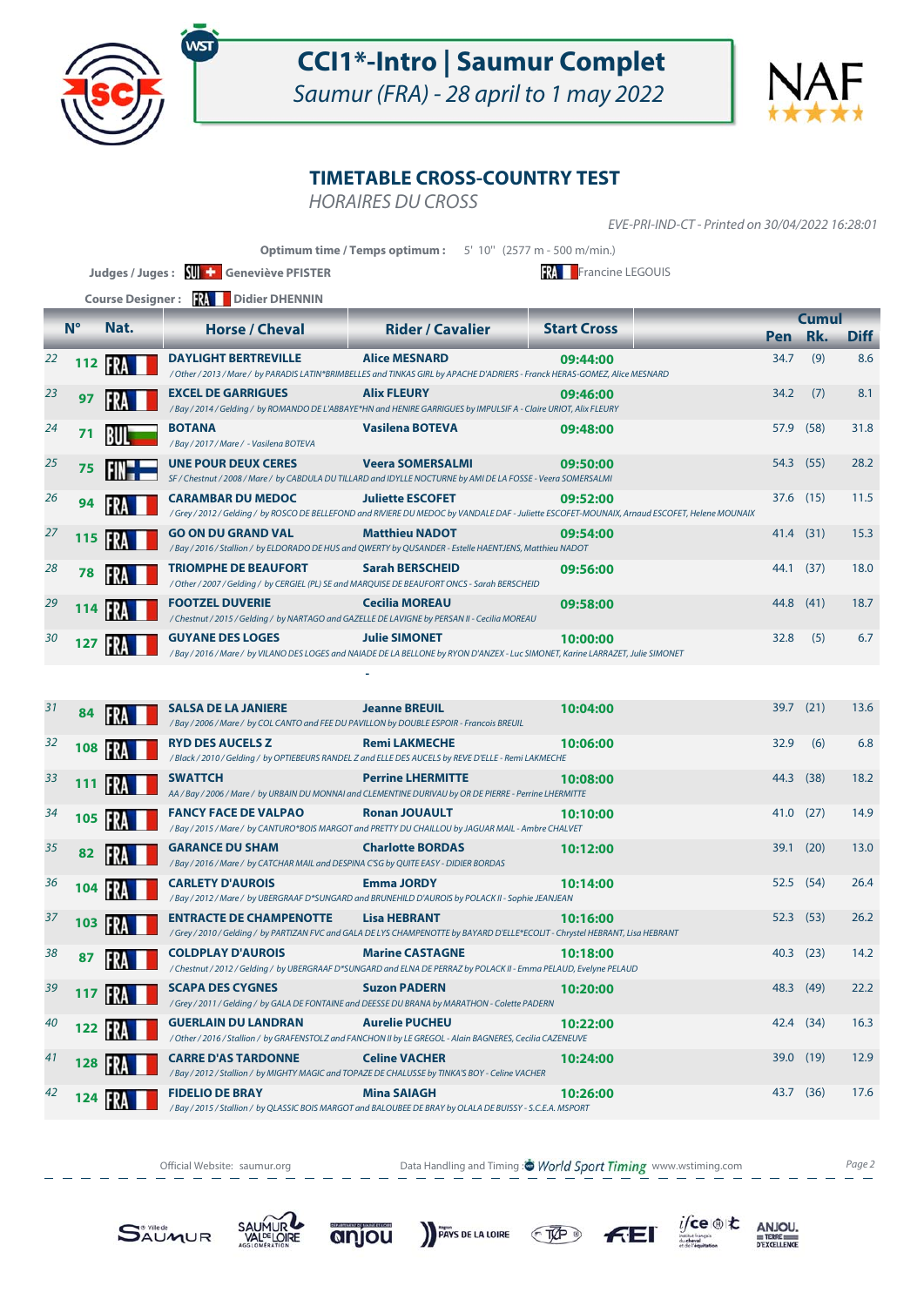

## **CCI1\*-Intro | Saumur Complet**

Saumur (FRA) - 28 april to 1 may 2022



#### **TIMETABLE CROSS-COUNTRY TEST**

HORAIRES DU CROSS

EVE-PRI-IND-CT - Printed on 30/04/2022 16:28:01

|    |             |                  | Judges / Juges: \  + Geneviève PFISTER<br>Course Designer: <b>XX</b> Didier DHENNIN                                     | <b>Optimum time / Temps optimum:</b> $5'$ 10" (2577 m $-500$ m/min.)                                                                                     | Francine LEGOUIS                                                                                                                                          |            |              |             |
|----|-------------|------------------|-------------------------------------------------------------------------------------------------------------------------|----------------------------------------------------------------------------------------------------------------------------------------------------------|-----------------------------------------------------------------------------------------------------------------------------------------------------------|------------|--------------|-------------|
|    | $N^{\circ}$ |                  |                                                                                                                         |                                                                                                                                                          | <b>Start Cross</b>                                                                                                                                        |            | <b>Cumul</b> |             |
|    |             | Nat.             | <b>Horse / Cheval</b>                                                                                                   | <b>Rider / Cavalier</b>                                                                                                                                  |                                                                                                                                                           | <b>Pen</b> | Rk.          | <b>Diff</b> |
| 22 | 112         | <b>FRA</b>       | <b>DAYLIGHT BERTREVILLE</b>                                                                                             | <b>Alice MESNARD</b><br>/ Other / 2013 / Mare / by PARADIS LATIN*BRIMBELLES and TINKAS GIRL by APACHE D'ADRIERS - Franck HERAS-GOMEZ, Alice MESNARD      | 09:44:00                                                                                                                                                  | 34.7       | (9)          | 8.6         |
| 23 | 97          |                  | <b>EXCEL DE GARRIGUES</b>                                                                                               | <b>Alix FLEURY</b><br>/ Bay / 2014 / Gelding / by ROMANDO DE L'ABBAYE*HN and HENIRE GARRIGUES by IMPULSIF A - Claire URIOT, Alix FLEURY                  | 09:46:00                                                                                                                                                  | 34.2       | (7)          | 8.1         |
| 24 | 71          | BU               | BOTANA<br>/Bay/2017/Mare/ - Vasilena BOTEVA                                                                             | <b>Vasilena BOTEVA</b>                                                                                                                                   | 09:48:00                                                                                                                                                  | 57.9       | (58)         | 31.8        |
| 25 | 75          | H                | <b>UNE POUR DEUX CERES</b>                                                                                              | <b>Veera SOMERSALMI</b><br>SF / Chestnut / 2008 / Mare / by CABDULA DU TILLARD and IDYLLE NOCTURNE by AMI DE LA FOSSE - Veera SOMERSALMI                 | 09:50:00                                                                                                                                                  | 54.3       | (55)         | 28.2        |
| 26 | 94          | FRA              | <b>CARAMBAR DU MEDOC</b>                                                                                                | <b>Juliette ESCOFET</b>                                                                                                                                  | 09:52:00<br>/Grey / 2012 / Gelding / by ROSCO DE BELLEFOND and RIVIERE DU MEDOC by VANDALE DAF - Juliette ESCOFET-MOUNAIX, Arnaud ESCOFET, Helene MOUNAIX | 37.6       | (15)         | 11.5        |
| 27 | 115         | IFRA             | <b>GO ON DU GRAND VAL</b>                                                                                               | <b>Matthieu NADOT</b><br>/ Bay / 2016 / Stallion / by ELDORADO DE HUS and QWERTY by QUSANDER - Estelle HAENTJENS, Matthieu NADOT                         | 09:54:00                                                                                                                                                  | 41.4       | (31)         | 15.3        |
| 28 | 78          |                  | TRIOMPHE DE BEAUFORT<br>/ Other / 2007 / Gelding / by CERGIEL (PL) SE and MARQUISE DE BEAUFORT ONCS - Sarah BERSCHEID   | <b>Sarah BERSCHEID</b>                                                                                                                                   | 09:56:00                                                                                                                                                  | 44.1       | (37)         | 18.0        |
| 29 | 114         | ŀК.              | <b>FOOTZEL DUVERIE</b><br>/ Chestnut / 2015 / Gelding / by NARTAGO and GAZELLE DE LAVIGNE by PERSAN II - Cecilia MOREAU | <b>Cecilia MOREAU</b>                                                                                                                                    | 09:58:00                                                                                                                                                  | 44.8       | (41)         | 18.7        |
| 30 | 127         | IFRA             | GUYANE DES LOGES                                                                                                        | <b>Julie SIMONET</b><br>/ Bay / 2016 / Mare / by VILANO DES LOGES and NAIADE DE LA BELLONE by RYON D'ANZEX - Luc SIMONET, Karine LARRAZET, Julie SIMONET | 10:00:00                                                                                                                                                  | 32.8       | (5)          | 6.7         |
|    |             |                  |                                                                                                                         |                                                                                                                                                          |                                                                                                                                                           |            |              |             |
| 31 | 84          |                  | <b>SALSA DE LA JANIERE</b><br>/Bay / 2006 / Mare / by COL CANTO and FEE DU PAVILLON by DOUBLE ESPOIR - Francois BREUIL  | <b>Jeanne BREUIL</b>                                                                                                                                     | 10:04:00                                                                                                                                                  |            | 39.7 (21)    | 13.6        |
| 32 | 108         | <b>FRA</b>       | <b>RYD DES AUCELS Z</b>                                                                                                 | <b>Remi LAKMECHE</b><br>/ Black / 2010 / Gelding / by OPTIEBEURS RANDEL Z and ELLE DES AUCELS by REVE D'ELLE - Remi LAKMECHE                             | 10:06:00                                                                                                                                                  | 32.9       | (6)          | 6.8         |
| 33 | 111         | IFRA             | <b>SWATTCH</b>                                                                                                          | <b>Perrine LHERMITTE</b><br>AA / Bay / 2006 / Mare / by URBAIN DU MONNAI and CLEMENTINE DURIVAU by OR DE PIERRE - Perrine LHERMITTE                      | 10:08:00                                                                                                                                                  | 44.3       | (38)         | 18.2        |
| 34 | 105         | <b>FRA</b>       | <b>FANCY FACE DE VALPAO</b>                                                                                             | <b>Ronan JOUAULT</b><br>/ Bay / 2015 / Mare / by CANTURO*BOIS MARGOT and PRETTY DU CHAILLOU by JAGUAR MAIL - Ambre CHALVET                               | 10:10:00                                                                                                                                                  | 41.0       | (27)         | 14.9        |
| 35 | 82          |                  | <b>GARANCE DU SHAM</b><br>/Bay / 2016 / Mare / by CATCHAR MAIL and DESPINA C'SG by QUITE EASY - DIDIER BORDAS           | <b>Charlotte BORDAS</b>                                                                                                                                  | 10:12:00                                                                                                                                                  | 39.1       | (20)         | 13.0        |
| 36 | 104         | FRA              | <b>CARLETY D'AUROIS</b>                                                                                                 | <b>Emma JORDY</b><br>/Bay/2012/Mare/ by UBERGRAAF D*SUNGARD and BRUNEHILD D'AUROIS by POLACK II - Sophie JEANJEAN                                        | 10:14:00                                                                                                                                                  | 52.5       | (54)         | 26.4        |
| 37 |             | <b>103 FRA 1</b> | <b>ENTRACTE DE CHAMPENOTTE</b>                                                                                          | <b>Lisa HEBRANT</b><br>/Grey/2010/Gelding/by PARTIZAN FVC and GALA DE LYS CHAMPENOTTE by BAYARD D'ELLE*ECOLIT - Chrystel HEBRANT, Lisa HEBRANT           | 10:16:00                                                                                                                                                  | 52.3       | (53)         | 26.2        |
| 38 | 87          | FRA              | <b>COLDPLAY D'AUROIS</b>                                                                                                | <b>Marine CASTAGNE</b><br>/ Chestnut / 2012 / Gelding / by UBERGRAAF D*SUNGARD and ELNA DE PERRAZ by POLACK II - Emma PELAUD, Evelyne PELAUD             | 10:18:00                                                                                                                                                  |            | 40.3 (23)    | 14.2        |
| 39 | 117         | IFRA             | SCAPA DES CYGNES                                                                                                        | <b>Suzon PADERN</b><br>/Grey / 2011 / Gelding / by GALA DE FONTAINE and DEESSE DU BRANA by MARATHON - Colette PADERN                                     | 10:20:00                                                                                                                                                  |            | 48.3 (49)    | 22.2        |
| 40 | 122         |                  | <b>GUERLAIN DU LANDRAN</b>                                                                                              | <b>Aurelie PUCHEU</b><br>/ Other / 2016 / Stallion / by GRAFENSTOLZ and FANCHON II by LE GREGOL - Alain BAGNERES, Cecilia CAZENEUVE                      | 10:22:00                                                                                                                                                  |            | 42.4 (34)    | 16.3        |
| 41 | 128         |                  | <b>CARRE D'AS TARDONNE</b>                                                                                              | <b>Celine VACHER</b><br>/Bay / 2012 / Stallion / by MIGHTY MAGIC and TOPAZE DE CHALUSSE by TINKA'S BOY - Celine VACHER                                   | 10:24:00                                                                                                                                                  | 39.0       | (19)         | 12.9        |
| 42 | 124         | FRA              | <b>FIDELIO DE BRAY</b>                                                                                                  | Mina SAIAGH<br>/Bay / 2015 / Stallion / by QLASSIC BOIS MARGOT and BALOUBEE DE BRAY by OLALA DE BUISSY - S.C.E.A. MSPORT                                 | 10:26:00                                                                                                                                                  |            | 43.7 (36)    | 17.6        |

Official Website: saumur.org **Data Handling and Timing : World Sport Timing** www.wstiming.com Page 2

 $F<sub>ET</sub>$ 

PAYS DE LA LOIRE TAP

 $i$ /ce  $\circledast$  to

 $\begin{array}{r}\nANJOU, \\
# \text{TERE} \\
 \hline\n\n \text{PEXCELLENCE}\n\end{array}$